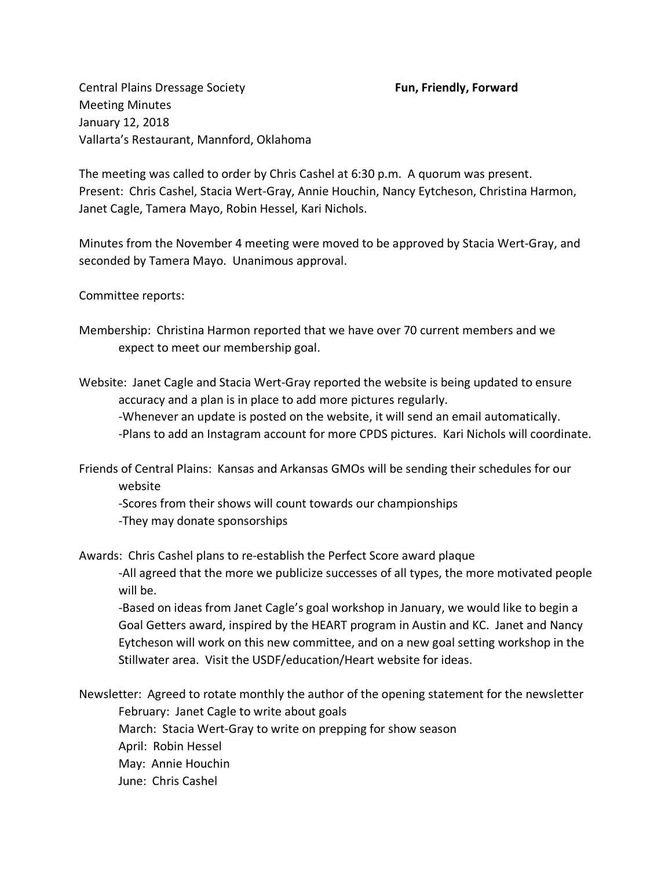Central Plains Dressage Society **Fun, Friendly, Forward** Meeting Minutes January 12, 2018 Vallarta's Restaurant, Mannford, Oklahoma

The meeting was called to order by Chris Cashel at 6:30 p.m. A quorum was present. Present: Chris Cashel, Stacia Wert-Gray, Annie Houchin, Nancy Eytcheson, Christina Harmon, Janet Cagle, Tamera Mayo, Robin Hessel, Kari Nichols.

Minutes from the November 4 meeting were moved to be approved by Stacia Wert-Gray, and seconded by Tamera Mayo. Unanimous approval.

Committee reports:

Membership: Christina Harmon reported that we have over 70 current members and we expect to meet our membership goal.

Website: Janet Cagle and Stacia Wert-Gray reported the website is being updated to ensure accuracy and a plan is in place to add more pictures regularly.

-Whenever an update is posted on the website, it will send an email automatically. -Plans to add an Instagram account for more CPDS pictures. Kari Nichols will coordinate.

Friends of Central Plains: Kansas and Arkansas GMOs will be sending their schedules for our website

-Scores from their shows will count towards our championships -They may donate sponsorships

Awards: Chris Cashel plans to re-establish the Perfect Score award plaque

-All agreed that the more we publicize successes of all types, the more motivated people will be.

-Based on ideas from Janet Cagle's goal workshop in January, we would like to begin a Goal Getters award, inspired by the HEART program in Austin and KC. Janet and Nancy Eytcheson will work on this new committee, and on a new goal setting workshop in the Stillwater area. Visit the USDF/education/Heart website for ideas.

Newsletter: Agreed to rotate monthly the author of the opening statement for the newsletter February: Janet Cagle to write about goals March: Stacia Wert-Gray to write on prepping for show season April: Robin Hessel

May: Annie Houchin

June: Chris Cashel